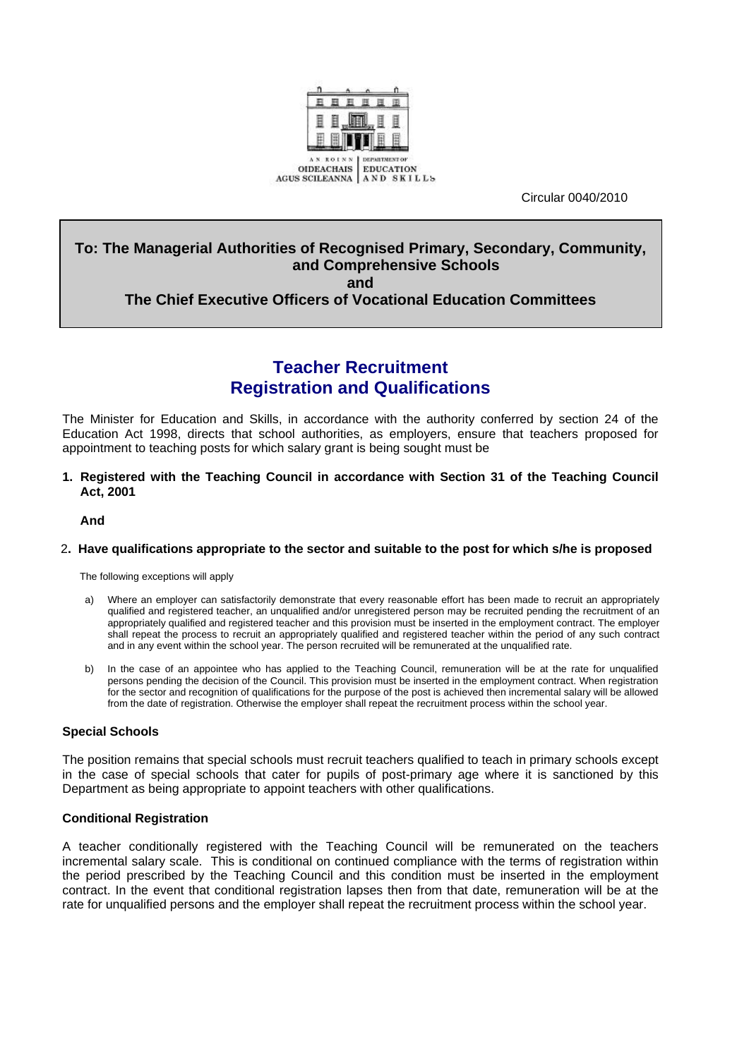

Circular 0040/2010

## **To: The Managerial Authorities of Recognised Primary, Secondary, Community, and Comprehensive Schools and**

## **The Chief Executive Officers of Vocational Education Committees**

# **Teacher Recruitment Registration and Qualifications**

The Minister for Education and Skills, in accordance with the authority conferred by section 24 of the Education Act 1998, directs that school authorities, as employers, ensure that teachers proposed for appointment to teaching posts for which salary grant is being sought must be

#### **1. Registered with the Teaching Council in accordance with Section 31 of the Teaching Council Act, 2001**

**And** 

#### 2**. Have qualifications appropriate to the sector and suitable to the post for which s/he is proposed**

The following exceptions will apply

- a) Where an employer can satisfactorily demonstrate that every reasonable effort has been made to recruit an appropriately qualified and registered teacher, an unqualified and/or unregistered person may be recruited pending the recruitment of an appropriately qualified and registered teacher and this provision must be inserted in the employment contract. The employer shall repeat the process to recruit an appropriately qualified and registered teacher within the period of any such contract and in any event within the school year. The person recruited will be remunerated at the unqualified rate.
- b) In the case of an appointee who has applied to the Teaching Council, remuneration will be at the rate for unqualified persons pending the decision of the Council. This provision must be inserted in the employment contract. When registration for the sector and recognition of qualifications for the purpose of the post is achieved then incremental salary will be allowed from the date of registration. Otherwise the employer shall repeat the recruitment process within the school year.

## **Special Schools**

The position remains that special schools must recruit teachers qualified to teach in primary schools except in the case of special schools that cater for pupils of post-primary age where it is sanctioned by this Department as being appropriate to appoint teachers with other qualifications.

## **Conditional Registration**

A teacher conditionally registered with the Teaching Council will be remunerated on the teachers incremental salary scale. This is conditional on continued compliance with the terms of registration within the period prescribed by the Teaching Council and this condition must be inserted in the employment contract. In the event that conditional registration lapses then from that date, remuneration will be at the rate for unqualified persons and the employer shall repeat the recruitment process within the school year.